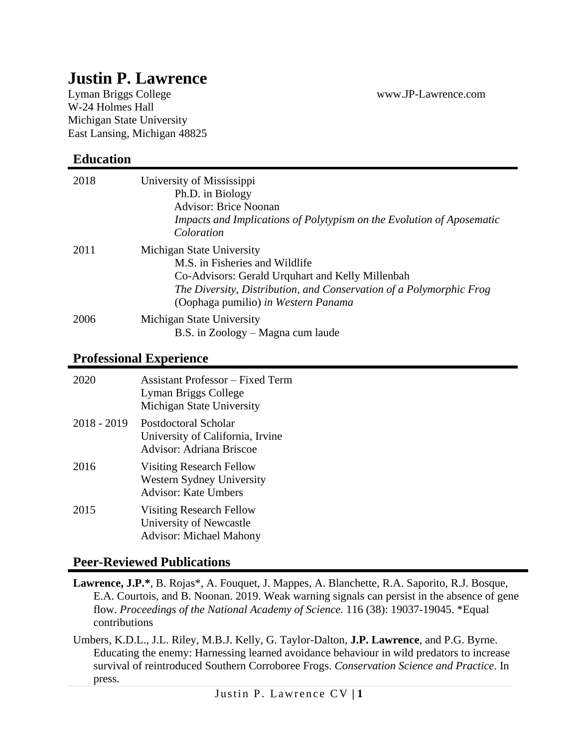#### www.JP-Lawrence.com

# **Justin P. Lawrence**

Lyman Briggs College W-24 Holmes Hall Michigan State University East Lansing, Michigan 48825

#### **Education**

| 2018 | University of Mississippi<br>Ph.D. in Biology<br><b>Advisor: Brice Noonan</b><br>Impacts and Implications of Polytypism on the Evolution of Aposematic<br>Coloration                                                          |
|------|-------------------------------------------------------------------------------------------------------------------------------------------------------------------------------------------------------------------------------|
| 2011 | Michigan State University<br>M.S. in Fisheries and Wildlife<br>Co-Advisors: Gerald Urquhart and Kelly Millenbah<br>The Diversity, Distribution, and Conservation of a Polymorphic Frog<br>(Oophaga pumilio) in Western Panama |
| 2006 | Michigan State University<br>B.S. in Zoology – Magna cum laude                                                                                                                                                                |

#### **Professional Experience**

| 2020          | <b>Assistant Professor</b> – Fixed Term<br>Lyman Briggs College<br>Michigan State University |
|---------------|----------------------------------------------------------------------------------------------|
| $2018 - 2019$ | Postdoctoral Scholar<br>University of California, Irvine<br><b>Advisor: Adriana Briscoe</b>  |
| 2016          | Visiting Research Fellow<br><b>Western Sydney University</b><br><b>Advisor: Kate Umbers</b>  |
| 2015          | Visiting Research Fellow<br>University of Newcastle<br><b>Advisor: Michael Mahony</b>        |

#### **Peer-Reviewed Publications**

**Lawrence, J.P.\***, B. Rojas\*, A. Fouquet, J. Mappes, A. Blanchette, R.A. Saporito, R.J. Bosque, E.A. Courtois, and B. Noonan. 2019. Weak warning signals can persist in the absence of gene flow. *Proceedings of the National Academy of Science.* 116 (38): 19037-19045. \*Equal contributions

Umbers, K.D.L., J.L. Riley, M.B.J. Kelly, G. Taylor-Dalton, **J.P. Lawrence**, and P.G. Byrne. Educating the enemy: Harnessing learned avoidance behaviour in wild predators to increase survival of reintroduced Southern Corroboree Frogs. *Conservation Science and Practice*. In press.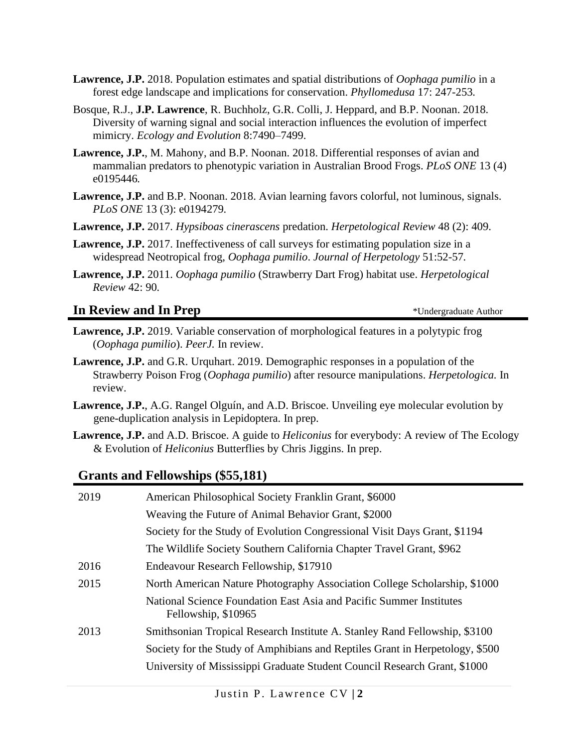- **Lawrence, J.P.** 2018. Population estimates and spatial distributions of *Oophaga pumilio* in a forest edge landscape and implications for conservation. *Phyllomedusa* 17: 247-253*.*
- Bosque, R.J., **J.P. Lawrence**, R. Buchholz, G.R. Colli, J. Heppard, and B.P. Noonan. 2018. Diversity of warning signal and social interaction influences the evolution of imperfect mimicry. *Ecology and Evolution* 8:7490–7499.
- **Lawrence, J.P.**, M. Mahony, and B.P. Noonan. 2018. Differential responses of avian and mammalian predators to phenotypic variation in Australian Brood Frogs. *PLoS ONE* 13 (4) e0195446*.*
- **Lawrence, J.P.** and B.P. Noonan. 2018. Avian learning favors colorful, not luminous, signals. *PLoS ONE* 13 (3): e0194279*.*
- **Lawrence, J.P.** 2017. *Hypsiboas cinerascens* predation. *Herpetological Review* 48 (2): 409.
- **Lawrence, J.P.** 2017. Ineffectiveness of call surveys for estimating population size in a widespread Neotropical frog, *Oophaga pumilio*. *Journal of Herpetology* 51:52-57*.*
- **Lawrence, J.P.** 2011. *Oophaga pumilio* (Strawberry Dart Frog) habitat use. *Herpetological Review* 42: 90*.*

### **In Review and In Prep** \*Undergraduate Author

- **Lawrence, J.P.** 2019. Variable conservation of morphological features in a polytypic frog (*Oophaga pumilio*). *PeerJ.* In review.
- **Lawrence, J.P.** and G.R. Urquhart. 2019. Demographic responses in a population of the Strawberry Poison Frog (*Oophaga pumilio*) after resource manipulations. *Herpetologica.* In review.
- **Lawrence, J.P.**, A.G. Rangel Olguín, and A.D. Briscoe. Unveiling eye molecular evolution by gene-duplication analysis in Lepidoptera. In prep.
- **Lawrence, J.P.** and A.D. Briscoe. A guide to *Heliconius* for everybody: A review of The Ecology & Evolution of *Heliconius* Butterflies by Chris Jiggins. In prep.

#### **Grants and Fellowships (\$55,181)**

| 2019 | American Philosophical Society Franklin Grant, \$6000                                      |
|------|--------------------------------------------------------------------------------------------|
|      | Weaving the Future of Animal Behavior Grant, \$2000                                        |
|      | Society for the Study of Evolution Congressional Visit Days Grant, \$1194                  |
|      | The Wildlife Society Southern California Chapter Travel Grant, \$962                       |
| 2016 | Endeavour Research Fellowship, \$17910                                                     |
| 2015 | North American Nature Photography Association College Scholarship, \$1000                  |
|      | National Science Foundation East Asia and Pacific Summer Institutes<br>Fellowship, \$10965 |
| 2013 | Smithsonian Tropical Research Institute A. Stanley Rand Fellowship, \$3100                 |
|      | Society for the Study of Amphibians and Reptiles Grant in Herpetology, \$500               |
|      | University of Mississippi Graduate Student Council Research Grant, \$1000                  |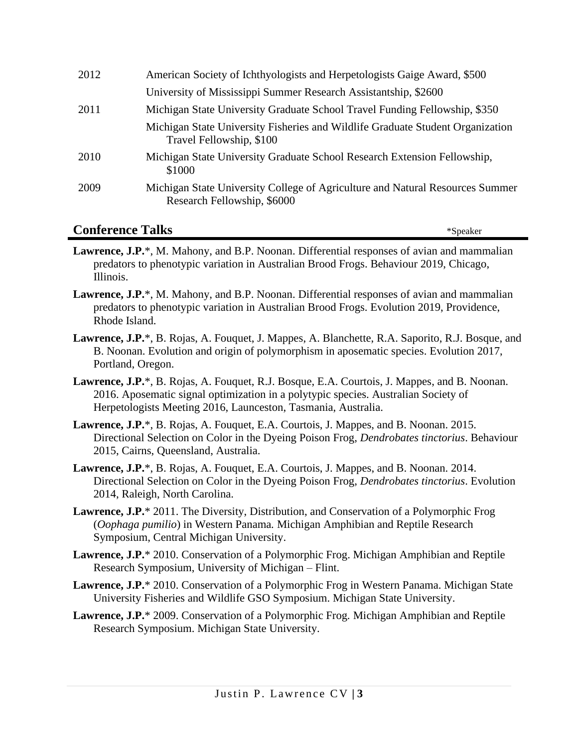| 2012 | American Society of Ichthyologists and Herpetologists Gaige Award, \$500                                     |
|------|--------------------------------------------------------------------------------------------------------------|
|      | University of Mississippi Summer Research Assistantship, \$2600                                              |
| 2011 | Michigan State University Graduate School Travel Funding Fellowship, \$350                                   |
|      | Michigan State University Fisheries and Wildlife Graduate Student Organization<br>Travel Fellowship, \$100   |
| 2010 | Michigan State University Graduate School Research Extension Fellowship,<br>\$1000                           |
| 2009 | Michigan State University College of Agriculture and Natural Resources Summer<br>Research Fellowship, \$6000 |

### **Conference Talks** \*Speaker

- **Lawrence, J.P.**\*, M. Mahony, and B.P. Noonan. Differential responses of avian and mammalian predators to phenotypic variation in Australian Brood Frogs. Behaviour 2019, Chicago, Illinois.
- **Lawrence, J.P.**\*, M. Mahony, and B.P. Noonan. Differential responses of avian and mammalian predators to phenotypic variation in Australian Brood Frogs. Evolution 2019, Providence, Rhode Island.
- **Lawrence, J.P.**\*, B. Rojas, A. Fouquet, J. Mappes, A. Blanchette, R.A. Saporito, R.J. Bosque, and B. Noonan. Evolution and origin of polymorphism in aposematic species. Evolution 2017, Portland, Oregon.
- **Lawrence, J.P.**\*, B. Rojas, A. Fouquet, R.J. Bosque, E.A. Courtois, J. Mappes, and B. Noonan. 2016. Aposematic signal optimization in a polytypic species. Australian Society of Herpetologists Meeting 2016, Launceston, Tasmania, Australia.
- **Lawrence, J.P.**\*, B. Rojas, A. Fouquet, E.A. Courtois, J. Mappes, and B. Noonan. 2015. Directional Selection on Color in the Dyeing Poison Frog, *Dendrobates tinctorius*. Behaviour 2015, Cairns, Queensland, Australia.
- **Lawrence, J.P.**\*, B. Rojas, A. Fouquet, E.A. Courtois, J. Mappes, and B. Noonan. 2014. Directional Selection on Color in the Dyeing Poison Frog, *Dendrobates tinctorius*. Evolution 2014, Raleigh, North Carolina.
- **Lawrence, J.P.**\* 2011. The Diversity, Distribution, and Conservation of a Polymorphic Frog (*Oophaga pumilio*) in Western Panama*.* Michigan Amphibian and Reptile Research Symposium, Central Michigan University.
- **Lawrence, J.P.**\* 2010. Conservation of a Polymorphic Frog. Michigan Amphibian and Reptile Research Symposium, University of Michigan – Flint.
- **Lawrence, J.P.**\* 2010. Conservation of a Polymorphic Frog in Western Panama. Michigan State University Fisheries and Wildlife GSO Symposium. Michigan State University.
- **Lawrence, J.P.**\* 2009. Conservation of a Polymorphic Frog*.* Michigan Amphibian and Reptile Research Symposium. Michigan State University.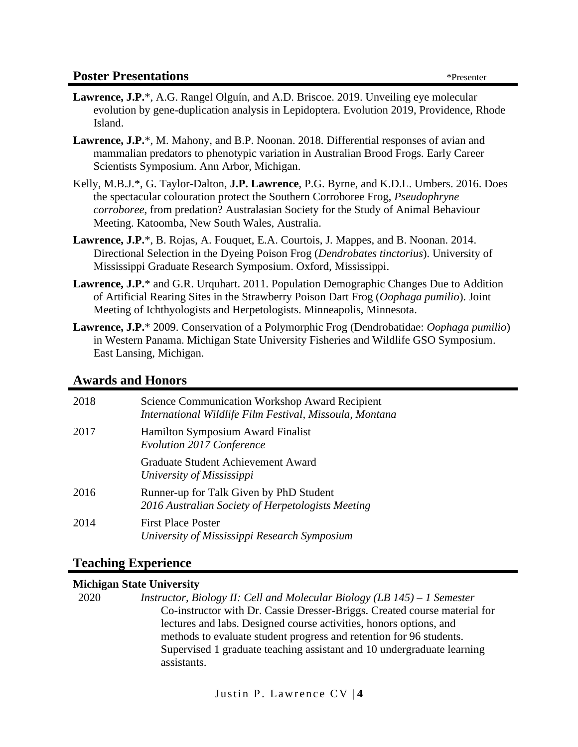#### **Poster Presentations** \*Presenter

- Lawrence, J.P.<sup>\*</sup>, A.G. Rangel Olguín, and A.D. Briscoe. 2019. Unveiling eye molecular evolution by gene-duplication analysis in Lepidoptera. Evolution 2019, Providence, Rhode Island.
- **Lawrence, J.P.**\*, M. Mahony, and B.P. Noonan. 2018. Differential responses of avian and mammalian predators to phenotypic variation in Australian Brood Frogs. Early Career Scientists Symposium. Ann Arbor, Michigan.
- Kelly, M.B.J.\*, G. Taylor-Dalton, **J.P. Lawrence**, P.G. Byrne, and K.D.L. Umbers. 2016. Does the spectacular colouration protect the Southern Corroboree Frog, *Pseudophryne corroboree*, from predation? Australasian Society for the Study of Animal Behaviour Meeting. Katoomba, New South Wales, Australia.
- **Lawrence, J.P.**\*, B. Rojas, A. Fouquet, E.A. Courtois, J. Mappes, and B. Noonan. 2014. Directional Selection in the Dyeing Poison Frog (*Dendrobates tinctorius*). University of Mississippi Graduate Research Symposium. Oxford, Mississippi.
- **Lawrence, J.P.**\* and G.R. Urquhart. 2011. Population Demographic Changes Due to Addition of Artificial Rearing Sites in the Strawberry Poison Dart Frog (*Oophaga pumilio*). Joint Meeting of Ichthyologists and Herpetologists. Minneapolis, Minnesota.
- **Lawrence, J.P.**\* 2009. Conservation of a Polymorphic Frog (Dendrobatidae: *Oophaga pumilio*) in Western Panama. Michigan State University Fisheries and Wildlife GSO Symposium. East Lansing, Michigan.

### **Awards and Honors**

| 2018 | <b>Science Communication Workshop Award Recipient</b><br>International Wildlife Film Festival, Missoula, Montana |
|------|------------------------------------------------------------------------------------------------------------------|
| 2017 | <b>Hamilton Symposium Award Finalist</b><br><b>Evolution 2017 Conference</b>                                     |
|      | Graduate Student Achievement Award<br>University of Mississippi                                                  |
| 2016 | Runner-up for Talk Given by PhD Student<br>2016 Australian Society of Herpetologists Meeting                     |
| 2014 | <b>First Place Poster</b><br>University of Mississippi Research Symposium                                        |

### **Teaching Experience**

#### **Michigan State University**

2020 *Instructor, Biology II: Cell and Molecular Biology (LB 145) – 1 Semester* Co-instructor with Dr. Cassie Dresser-Briggs. Created course material for lectures and labs. Designed course activities, honors options, and methods to evaluate student progress and retention for 96 students. Supervised 1 graduate teaching assistant and 10 undergraduate learning assistants.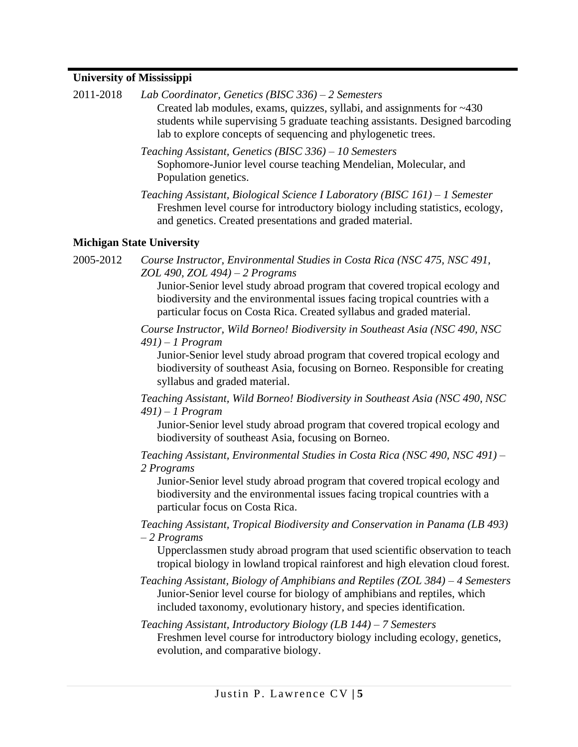## **University of Mississippi**

| 2011-2018 | Lab Coordinator, Genetics (BISC 336) - 2 Semesters<br>Created lab modules, exams, quizzes, syllabi, and assignments for $\sim$ 430<br>students while supervising 5 graduate teaching assistants. Designed barcoding<br>lab to explore concepts of sequencing and phylogenetic trees. |
|-----------|--------------------------------------------------------------------------------------------------------------------------------------------------------------------------------------------------------------------------------------------------------------------------------------|
|           | Teaching Assistant, Genetics (BISC 336) - 10 Semesters<br>Sophomore-Junior level course teaching Mendelian, Molecular, and<br>Population genetics.                                                                                                                                   |
|           | Teaching Assistant, Biological Science I Laboratory (BISC 161) – 1 Semester<br>Freshmen level course for introductory biology including statistics, ecology,<br>and genetics. Created presentations and graded material.                                                             |
|           | <b>Michigan State University</b>                                                                                                                                                                                                                                                     |
| 2005-2012 | Course Instructor, Environmental Studies in Costa Rica (NSC 475, NSC 491,<br>ZOL 490, ZOL 494) $-$ 2 Programs                                                                                                                                                                        |
|           | Junior-Senior level study abroad program that covered tropical ecology and<br>biodiversity and the environmental issues facing tropical countries with a<br>particular focus on Costa Rica. Created syllabus and graded material.                                                    |
|           | Course Instructor, Wild Borneo! Biodiversity in Southeast Asia (NSC 490, NSC                                                                                                                                                                                                         |
|           | $491$ ) – 1 Program<br>Junior-Senior level study abroad program that covered tropical ecology and<br>biodiversity of southeast Asia, focusing on Borneo. Responsible for creating<br>syllabus and graded material.                                                                   |
|           | Teaching Assistant, Wild Borneo! Biodiversity in Southeast Asia (NSC 490, NSC<br>$491$ – 1 Program<br>Junior-Senior level study abroad program that covered tropical ecology and<br>biodiversity of southeast Asia, focusing on Borneo.                                              |
|           | Teaching Assistant, Environmental Studies in Costa Rica (NSC 490, NSC 491) -<br>2 Programs                                                                                                                                                                                           |
|           | Junior-Senior level study abroad program that covered tropical ecology and<br>biodiversity and the environmental issues facing tropical countries with a<br>particular focus on Costa Rica.                                                                                          |
|           | Teaching Assistant, Tropical Biodiversity and Conservation in Panama (LB 493)<br>$-2$ Programs                                                                                                                                                                                       |
|           | Upperclassmen study abroad program that used scientific observation to teach<br>tropical biology in lowland tropical rainforest and high elevation cloud forest.                                                                                                                     |
|           | Teaching Assistant, Biology of Amphibians and Reptiles (ZOL 384) – 4 Semesters<br>Junior-Senior level course for biology of amphibians and reptiles, which<br>included taxonomy, evolutionary history, and species identification.                                                   |
|           | Teaching Assistant, Introductory Biology (LB 144) - 7 Semesters<br>Freshmen level course for introductory biology including ecology, genetics,<br>evolution, and comparative biology.                                                                                                |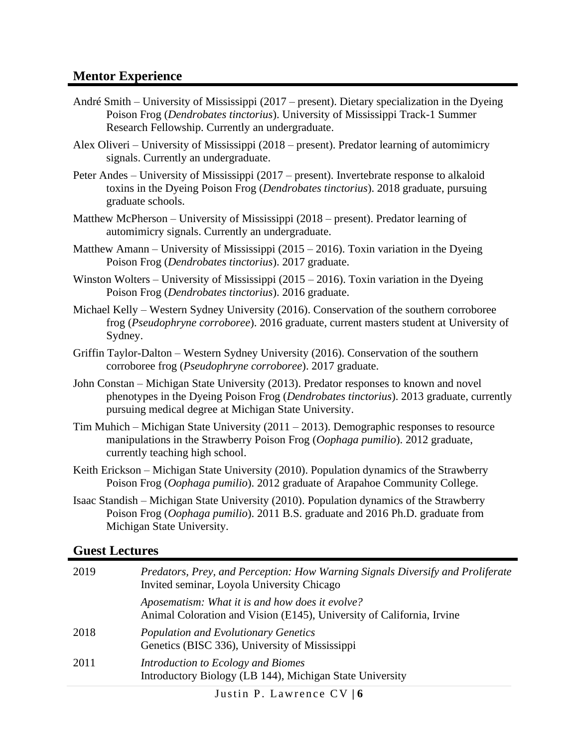#### **Mentor Experience**

- André Smith University of Mississippi (2017 present). Dietary specialization in the Dyeing Poison Frog (*Dendrobates tinctorius*). University of Mississippi Track-1 Summer Research Fellowship. Currently an undergraduate.
- Alex Oliveri University of Mississippi (2018 present). Predator learning of automimicry signals. Currently an undergraduate.
- Peter Andes University of Mississippi (2017 present). Invertebrate response to alkaloid toxins in the Dyeing Poison Frog (*Dendrobates tinctorius*). 2018 graduate, pursuing graduate schools.
- Matthew McPherson University of Mississippi (2018 present). Predator learning of automimicry signals. Currently an undergraduate.
- Matthew Amann University of Mississippi (2015 2016). Toxin variation in the Dyeing Poison Frog (*Dendrobates tinctorius*). 2017 graduate.
- Winston Wolters University of Mississippi (2015 2016). Toxin variation in the Dyeing Poison Frog (*Dendrobates tinctorius*). 2016 graduate.
- Michael Kelly Western Sydney University (2016). Conservation of the southern corroboree frog (*Pseudophryne corroboree*). 2016 graduate, current masters student at University of Sydney.
- Griffin Taylor-Dalton Western Sydney University (2016). Conservation of the southern corroboree frog (*Pseudophryne corroboree*). 2017 graduate.
- John Constan Michigan State University (2013). Predator responses to known and novel phenotypes in the Dyeing Poison Frog (*Dendrobates tinctorius*). 2013 graduate, currently pursuing medical degree at Michigan State University.
- Tim Muhich Michigan State University  $(2011 2013)$ . Demographic responses to resource manipulations in the Strawberry Poison Frog (*Oophaga pumilio*). 2012 graduate, currently teaching high school.
- Keith Erickson Michigan State University (2010). Population dynamics of the Strawberry Poison Frog (*Oophaga pumilio*). 2012 graduate of Arapahoe Community College.
- Isaac Standish Michigan State University (2010). Population dynamics of the Strawberry Poison Frog (*Oophaga pumilio*). 2011 B.S. graduate and 2016 Ph.D. graduate from Michigan State University.

#### **Guest Lectures**

| 2019 | Predators, Prey, and Perception: How Warning Signals Diversify and Proliferate<br>Invited seminar, Loyola University Chicago |
|------|------------------------------------------------------------------------------------------------------------------------------|
|      | Aposematism: What it is and how does it evolve?<br>Animal Coloration and Vision (E145), University of California, Irvine     |
| 2018 | <b>Population and Evolutionary Genetics</b><br>Genetics (BISC 336), University of Mississippi                                |
| 2011 | Introduction to Ecology and Biomes<br>Introductory Biology (LB 144), Michigan State University                               |

Justin P. Lawrence CV | 6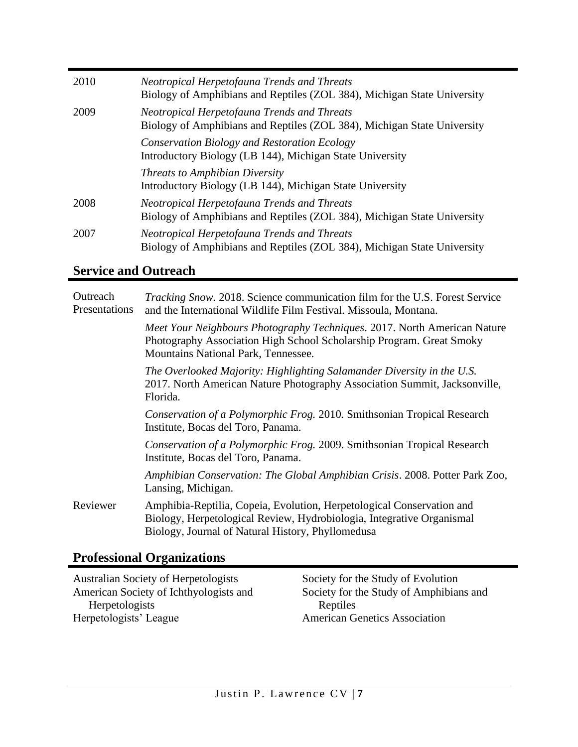| 2010 | <b>Neotropical Herpetofauna Trends and Threats</b><br>Biology of Amphibians and Reptiles (ZOL 384), Michigan State University |
|------|-------------------------------------------------------------------------------------------------------------------------------|
| 2009 | <b>Neotropical Herpetofauna Trends and Threats</b><br>Biology of Amphibians and Reptiles (ZOL 384), Michigan State University |
|      | <b>Conservation Biology and Restoration Ecology</b><br>Introductory Biology (LB 144), Michigan State University               |
|      | <b>Threats to Amphibian Diversity</b><br>Introductory Biology (LB 144), Michigan State University                             |
| 2008 | <b>Neotropical Herpetofauna Trends and Threats</b><br>Biology of Amphibians and Reptiles (ZOL 384), Michigan State University |
| 2007 | <b>Neotropical Herpetofauna Trends and Threats</b><br>Biology of Amphibians and Reptiles (ZOL 384), Michigan State University |

#### **Service and Outreach**

| Outreach<br>Presentations | Tracking Snow. 2018. Science communication film for the U.S. Forest Service<br>and the International Wildlife Film Festival. Missoula, Montana.                                                     |
|---------------------------|-----------------------------------------------------------------------------------------------------------------------------------------------------------------------------------------------------|
|                           | Meet Your Neighbours Photography Techniques. 2017. North American Nature<br>Photography Association High School Scholarship Program. Great Smoky<br>Mountains National Park, Tennessee.             |
|                           | The Overlooked Majority: Highlighting Salamander Diversity in the U.S.<br>2017. North American Nature Photography Association Summit, Jacksonville,<br>Florida.                                     |
|                           | Conservation of a Polymorphic Frog. 2010. Smithsonian Tropical Research<br>Institute, Bocas del Toro, Panama.                                                                                       |
|                           | Conservation of a Polymorphic Frog. 2009. Smithsonian Tropical Research<br>Institute, Bocas del Toro, Panama.                                                                                       |
|                           | Amphibian Conservation: The Global Amphibian Crisis. 2008. Potter Park Zoo,<br>Lansing, Michigan.                                                                                                   |
| Reviewer                  | Amphibia-Reptilia, Copeia, Evolution, Herpetological Conservation and<br>Biology, Herpetological Review, Hydrobiologia, Integrative Organismal<br>Biology, Journal of Natural History, Phyllomedusa |

## **Professional Organizations**

Australian Society of Herpetologists Society for the Study of Evolution American Society of Ichthyologists and Herpetologists Herpetologists' League American Genetics Association

Society for the Study of Amphibians and Reptiles